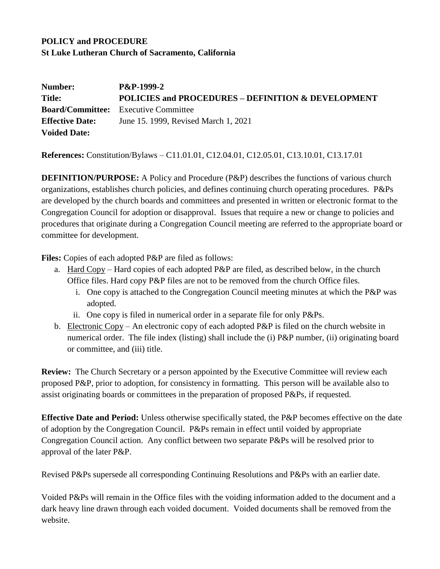# **POLICY and PROCEDURE St Luke Lutheran Church of Sacramento, California**

| Number:                | <b>P&amp;P-1999-2</b>                                         |
|------------------------|---------------------------------------------------------------|
| Title:                 | <b>POLICIES and PROCEDURES - DEFINITION &amp; DEVELOPMENT</b> |
|                        | <b>Board/Committee:</b> Executive Committee                   |
| <b>Effective Date:</b> | June 15, 1999, Revised March 1, 2021                          |
| <b>Voided Date:</b>    |                                                               |

**References:** Constitution/Bylaws – C11.01.01, C12.04.01, C12.05.01, C13.10.01, C13.17.01

**DEFINITION/PURPOSE:** A Policy and Procedure (P&P) describes the functions of various church organizations, establishes church policies, and defines continuing church operating procedures. P&Ps are developed by the church boards and committees and presented in written or electronic format to the Congregation Council for adoption or disapproval. Issues that require a new or change to policies and procedures that originate during a Congregation Council meeting are referred to the appropriate board or committee for development.

Files: Copies of each adopted P&P are filed as follows:

- a. Hard Copy Hard copies of each adopted P&P are filed, as described below, in the church Office files. Hard copy P&P files are not to be removed from the church Office files.
	- i. One copy is attached to the Congregation Council meeting minutes at which the P&P was adopted.
	- ii. One copy is filed in numerical order in a separate file for only P&Ps.
- b. Electronic Copy An electronic copy of each adopted P&P is filed on the church website in numerical order. The file index (listing) shall include the (i) P&P number, (ii) originating board or committee, and (iii) title.

**Review:** The Church Secretary or a person appointed by the Executive Committee will review each proposed P&P, prior to adoption, for consistency in formatting. This person will be available also to assist originating boards or committees in the preparation of proposed P&Ps, if requested.

**Effective Date and Period:** Unless otherwise specifically stated, the P&P becomes effective on the date of adoption by the Congregation Council. P&Ps remain in effect until voided by appropriate Congregation Council action. Any conflict between two separate P&Ps will be resolved prior to approval of the later P&P.

Revised P&Ps supersede all corresponding Continuing Resolutions and P&Ps with an earlier date.

Voided P&Ps will remain in the Office files with the voiding information added to the document and a dark heavy line drawn through each voided document. Voided documents shall be removed from the website.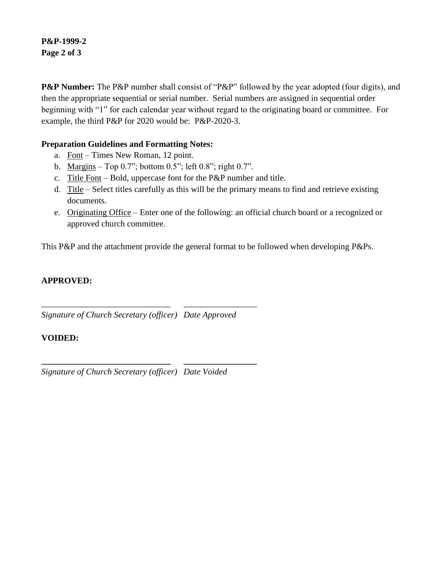### **P&P-1999-2 Page 2 of 3**

**P&P Number:** The P&P number shall consist of "P&P" followed by the year adopted (four digits), and then the appropriate sequential or serial number. Serial numbers are assigned in sequential order beginning with "1" for each calendar year without regard to the originating board or committee. For example, the third P&P for 2020 would be: P&P-2020-3.

## **Preparation Guidelines and Formatting Notes:**

- a. Font Times New Roman, 12 point.
- b. Margins Top 0.7"; bottom 0.5"; left 0.8"; right 0.7".
- c. Title Font Bold, uppercase font for the P&P number and title.
- d. Title Select titles carefully as this will be the primary means to find and retrieve existing documents.
- e. Originating Office Enter one of the following: an official church board or a recognized or approved church committee.

This P&P and the attachment provide the general format to be followed when developing P&Ps.

### **APPROVED:**

*Signature of Church Secretary (officer) Date Approved*

\_\_\_\_\_\_\_\_\_\_\_\_\_\_\_\_\_\_\_\_\_\_\_\_\_\_\_\_\_\_ \_\_\_\_\_\_\_\_\_\_\_\_\_\_\_\_\_

**\_\_\_\_\_\_\_\_\_\_\_\_\_\_\_\_\_\_\_\_\_\_\_\_\_\_\_\_\_\_ \_\_\_\_\_\_\_\_\_\_\_\_\_\_\_\_\_**

#### **VOIDED:**

*Signature of Church Secretary (officer) Date Voided*